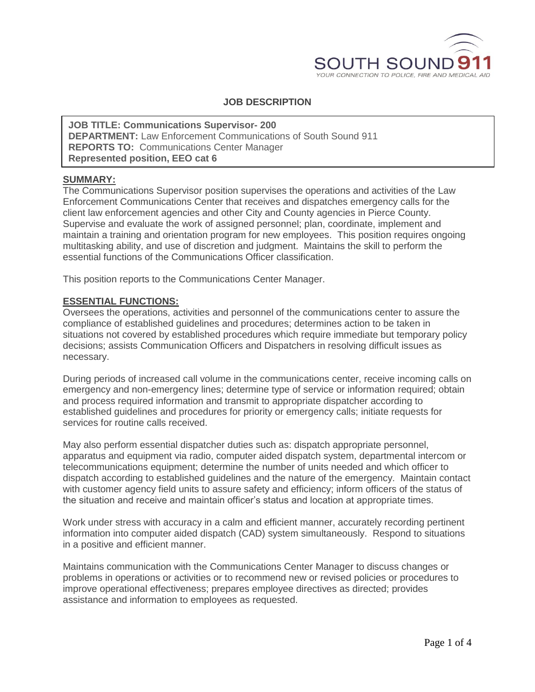

# **JOB DESCRIPTION**

**JOB TITLE: Communications Supervisor- 200 DEPARTMENT:** Law Enforcement Communications of South Sound 911 **REPORTS TO:** Communications Center Manager **Represented position, EEO cat 6**

# **SUMMARY:**

The Communications Supervisor position supervises the operations and activities of the Law Enforcement Communications Center that receives and dispatches emergency calls for the client law enforcement agencies and other City and County agencies in Pierce County. Supervise and evaluate the work of assigned personnel; plan, coordinate, implement and maintain a training and orientation program for new employees. This position requires ongoing multitasking ability, and use of discretion and judgment. Maintains the skill to perform the essential functions of the Communications Officer classification.

This position reports to the Communications Center Manager.

#### **ESSENTIAL FUNCTIONS:**

Oversees the operations, activities and personnel of the communications center to assure the compliance of established guidelines and procedures; determines action to be taken in situations not covered by established procedures which require immediate but temporary policy decisions; assists Communication Officers and Dispatchers in resolving difficult issues as necessary.

During periods of increased call volume in the communications center, receive incoming calls on emergency and non-emergency lines; determine type of service or information required; obtain and process required information and transmit to appropriate dispatcher according to established guidelines and procedures for priority or emergency calls; initiate requests for services for routine calls received.

May also perform essential dispatcher duties such as: dispatch appropriate personnel, apparatus and equipment via radio, computer aided dispatch system, departmental intercom or telecommunications equipment; determine the number of units needed and which officer to dispatch according to established guidelines and the nature of the emergency. Maintain contact with customer agency field units to assure safety and efficiency; inform officers of the status of the situation and receive and maintain officer's status and location at appropriate times.

Work under stress with accuracy in a calm and efficient manner, accurately recording pertinent information into computer aided dispatch (CAD) system simultaneously. Respond to situations in a positive and efficient manner.

Maintains communication with the Communications Center Manager to discuss changes or problems in operations or activities or to recommend new or revised policies or procedures to improve operational effectiveness; prepares employee directives as directed; provides assistance and information to employees as requested.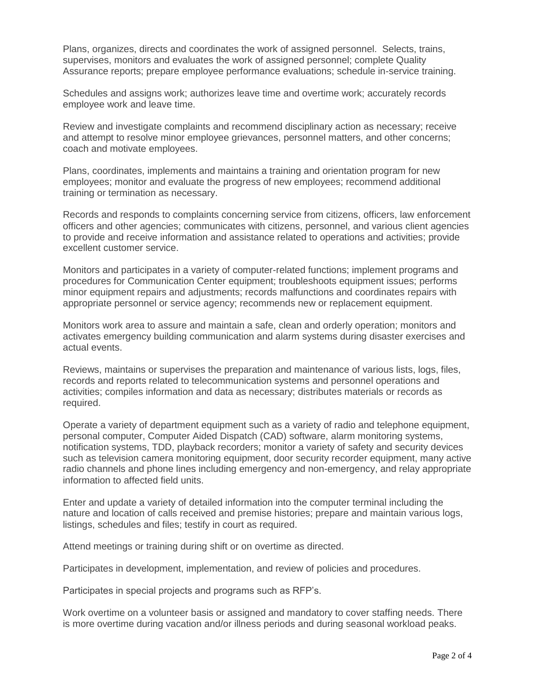Plans, organizes, directs and coordinates the work of assigned personnel. Selects, trains, supervises, monitors and evaluates the work of assigned personnel; complete Quality Assurance reports; prepare employee performance evaluations; schedule in-service training.

Schedules and assigns work; authorizes leave time and overtime work; accurately records employee work and leave time.

Review and investigate complaints and recommend disciplinary action as necessary; receive and attempt to resolve minor employee grievances, personnel matters, and other concerns; coach and motivate employees.

Plans, coordinates, implements and maintains a training and orientation program for new employees; monitor and evaluate the progress of new employees; recommend additional training or termination as necessary.

Records and responds to complaints concerning service from citizens, officers, law enforcement officers and other agencies; communicates with citizens, personnel, and various client agencies to provide and receive information and assistance related to operations and activities; provide excellent customer service.

Monitors and participates in a variety of computer-related functions; implement programs and procedures for Communication Center equipment; troubleshoots equipment issues; performs minor equipment repairs and adjustments; records malfunctions and coordinates repairs with appropriate personnel or service agency; recommends new or replacement equipment.

Monitors work area to assure and maintain a safe, clean and orderly operation; monitors and activates emergency building communication and alarm systems during disaster exercises and actual events.

Reviews, maintains or supervises the preparation and maintenance of various lists, logs, files, records and reports related to telecommunication systems and personnel operations and activities; compiles information and data as necessary; distributes materials or records as required.

Operate a variety of department equipment such as a variety of radio and telephone equipment, personal computer, Computer Aided Dispatch (CAD) software, alarm monitoring systems, notification systems, TDD, playback recorders; monitor a variety of safety and security devices such as television camera monitoring equipment, door security recorder equipment, many active radio channels and phone lines including emergency and non-emergency, and relay appropriate information to affected field units.

Enter and update a variety of detailed information into the computer terminal including the nature and location of calls received and premise histories; prepare and maintain various logs, listings, schedules and files; testify in court as required.

Attend meetings or training during shift or on overtime as directed.

Participates in development, implementation, and review of policies and procedures.

Participates in special projects and programs such as RFP's.

Work overtime on a volunteer basis or assigned and mandatory to cover staffing needs. There is more overtime during vacation and/or illness periods and during seasonal workload peaks.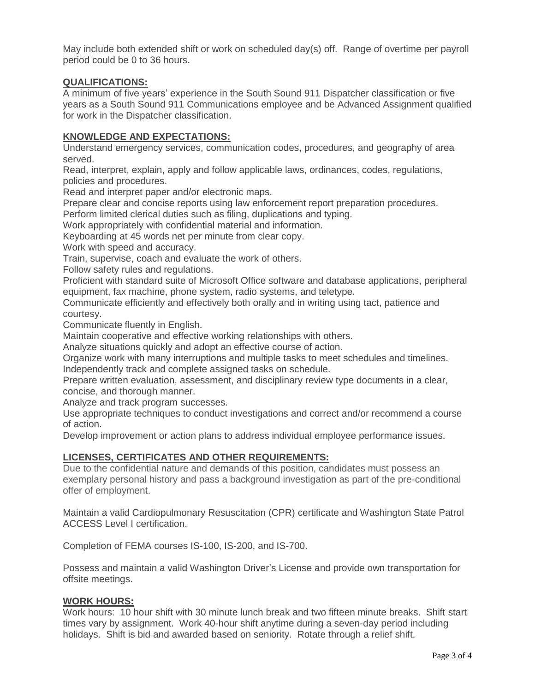May include both extended shift or work on scheduled day(s) off. Range of overtime per payroll period could be 0 to 36 hours.

## **QUALIFICATIONS:**

A minimum of five years' experience in the South Sound 911 Dispatcher classification or five years as a South Sound 911 Communications employee and be Advanced Assignment qualified for work in the Dispatcher classification.

### **KNOWLEDGE AND EXPECTATIONS:**

Understand emergency services, communication codes, procedures, and geography of area served.

Read, interpret, explain, apply and follow applicable laws, ordinances, codes, regulations, policies and procedures.

Read and interpret paper and/or electronic maps.

Prepare clear and concise reports using law enforcement report preparation procedures.

Perform limited clerical duties such as filing, duplications and typing.

Work appropriately with confidential material and information.

Keyboarding at 45 words net per minute from clear copy.

Work with speed and accuracy.

Train, supervise, coach and evaluate the work of others.

Follow safety rules and regulations.

Proficient with standard suite of Microsoft Office software and database applications, peripheral equipment, fax machine, phone system, radio systems, and teletype.

Communicate efficiently and effectively both orally and in writing using tact, patience and courtesy.

Communicate fluently in English.

Maintain cooperative and effective working relationships with others.

Analyze situations quickly and adopt an effective course of action.

Organize work with many interruptions and multiple tasks to meet schedules and timelines. Independently track and complete assigned tasks on schedule.

Prepare written evaluation, assessment, and disciplinary review type documents in a clear, concise, and thorough manner.

Analyze and track program successes.

Use appropriate techniques to conduct investigations and correct and/or recommend a course of action.

Develop improvement or action plans to address individual employee performance issues.

### **LICENSES, CERTIFICATES AND OTHER REQUIREMENTS:**

Due to the confidential nature and demands of this position, candidates must possess an exemplary personal history and pass a background investigation as part of the pre-conditional offer of employment.

Maintain a valid Cardiopulmonary Resuscitation (CPR) certificate and Washington State Patrol ACCESS Level I certification.

Completion of FEMA courses IS-100, IS-200, and IS-700.

Possess and maintain a valid Washington Driver's License and provide own transportation for offsite meetings.

### **WORK HOURS:**

Work hours: 10 hour shift with 30 minute lunch break and two fifteen minute breaks. Shift start times vary by assignment. Work 40-hour shift anytime during a seven-day period including holidays. Shift is bid and awarded based on seniority. Rotate through a relief shift.